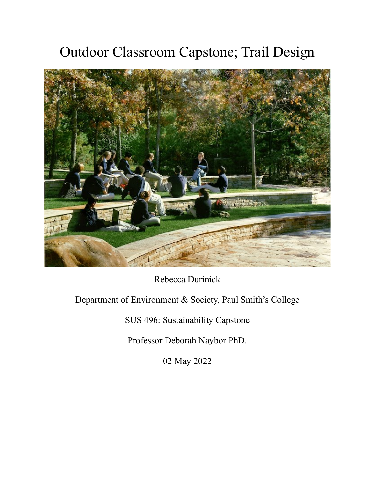# Outdoor Classroom Capstone; Trail Design



Rebecca Durinick

## Department of Environment & Society, Paul Smith's College

SUS 496: Sustainability Capstone

Professor Deborah Naybor PhD.

02 May 2022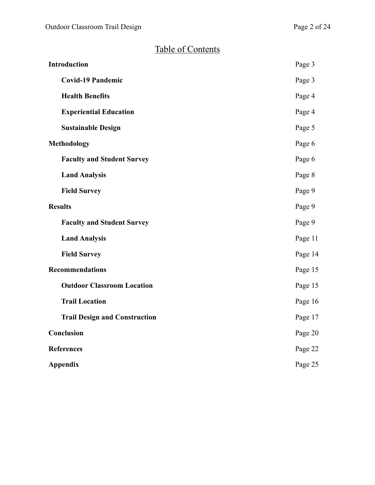## Table of Contents

| <b>Introduction</b>                  | Page 3  |
|--------------------------------------|---------|
| <b>Covid-19 Pandemic</b>             | Page 3  |
| <b>Health Benefits</b>               | Page 4  |
| <b>Experiential Education</b>        | Page 4  |
| <b>Sustainable Design</b>            | Page 5  |
| <b>Methodology</b>                   | Page 6  |
| <b>Faculty and Student Survey</b>    | Page 6  |
| <b>Land Analysis</b>                 | Page 8  |
| <b>Field Survey</b>                  | Page 9  |
| <b>Results</b>                       | Page 9  |
| <b>Faculty and Student Survey</b>    | Page 9  |
| <b>Land Analysis</b>                 | Page 11 |
| <b>Field Survey</b>                  | Page 14 |
| <b>Recommendations</b>               | Page 15 |
| <b>Outdoor Classroom Location</b>    | Page 15 |
| <b>Trail Location</b>                | Page 16 |
| <b>Trail Design and Construction</b> | Page 17 |
| Conclusion                           | Page 20 |
| <b>References</b>                    | Page 22 |
| <b>Appendix</b>                      | Page 25 |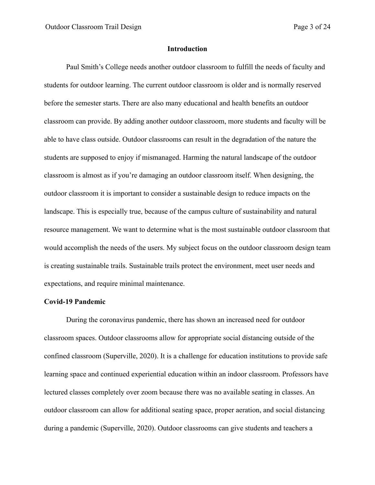#### **Introduction**

Paul Smith's College needs another outdoor classroom to fulfill the needs of faculty and students for outdoor learning. The current outdoor classroom is older and is normally reserved before the semester starts. There are also many educational and health benefits an outdoor classroom can provide. By adding another outdoor classroom, more students and faculty will be able to have class outside. Outdoor classrooms can result in the degradation of the nature the students are supposed to enjoy if mismanaged. Harming the natural landscape of the outdoor classroom is almost as if you're damaging an outdoor classroom itself. When designing, the outdoor classroom it is important to consider a sustainable design to reduce impacts on the landscape. This is especially true, because of the campus culture of sustainability and natural resource management. We want to determine what is the most sustainable outdoor classroom that would accomplish the needs of the users. My subject focus on the outdoor classroom design team is creating sustainable trails. Sustainable trails protect the environment, meet user needs and expectations, and require minimal maintenance.

#### **Covid-19 Pandemic**

During the coronavirus pandemic, there has shown an increased need for outdoor classroom spaces. Outdoor classrooms allow for appropriate social distancing outside of the confined classroom (Superville, 2020). It is a challenge for education institutions to provide safe learning space and continued experiential education within an indoor classroom. Professors have lectured classes completely over zoom because there was no available seating in classes. An outdoor classroom can allow for additional seating space, proper aeration, and social distancing during a pandemic (Superville, 2020). Outdoor classrooms can give students and teachers a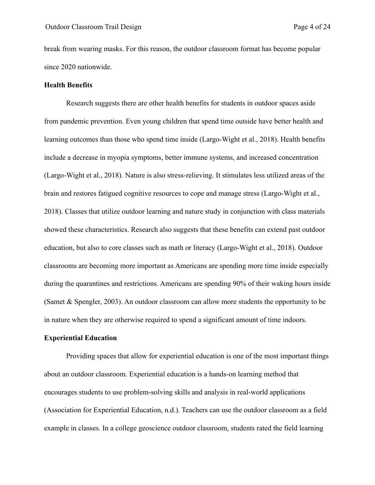break from wearing masks. For this reason, the outdoor classroom format has become popular since 2020 nationwide.

## **Health Benefits**

Research suggests there are other health benefits for students in outdoor spaces aside from pandemic prevention. Even young children that spend time outside have better health and learning outcomes than those who spend time inside (Largo-Wight et al., 2018). Health benefits include a decrease in myopia symptoms, better immune systems, and increased concentration (Largo-Wight et al., 2018). Nature is also stress-relieving. It stimulates less utilized areas of the brain and restores fatigued cognitive resources to cope and manage stress (Largo-Wight et al., 2018). Classes that utilize outdoor learning and nature study in conjunction with class materials showed these characteristics. Research also suggests that these benefits can extend past outdoor education, but also to core classes such as math or literacy (Largo-Wight et al., 2018). Outdoor classrooms are becoming more important as Americans are spending more time inside especially during the quarantines and restrictions. Americans are spending 90% of their waking hours inside (Samet & Spengler, 2003). An outdoor classroom can allow more students the opportunity to be in nature when they are otherwise required to spend a significant amount of time indoors.

## **Experiential Education**

Providing spaces that allow for experiential education is one of the most important things about an outdoor classroom. Experiential education is a hands-on learning method that encourages students to use problem-solving skills and analysis in real-world applications (Association for Experiential Education, n.d.). Teachers can use the outdoor classroom as a field example in classes. In a college geoscience outdoor classroom, students rated the field learning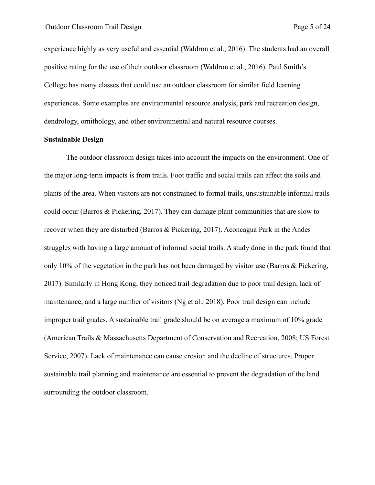experience highly as very useful and essential (Waldron et al., 2016). The students had an overall positive rating for the use of their outdoor classroom (Waldron et al., 2016). Paul Smith's College has many classes that could use an outdoor classroom for similar field learning experiences. Some examples are environmental resource analysis, park and recreation design, dendrology, ornithology, and other environmental and natural resource courses.

#### **Sustainable Design**

The outdoor classroom design takes into account the impacts on the environment. One of the major long-term impacts is from trails. Foot traffic and social trails can affect the soils and plants of the area. When visitors are not constrained to formal trails, unsustainable informal trails could occur (Barros & Pickering, 2017). They can damage plant communities that are slow to recover when they are disturbed (Barros & Pickering, 2017). Aconcagua Park in the Andes struggles with having a large amount of informal social trails. A study done in the park found that only 10% of the vegetation in the park has not been damaged by visitor use (Barros & Pickering, 2017). Similarly in Hong Kong, they noticed trail degradation due to poor trail design, lack of maintenance, and a large number of visitors (Ng et al., 2018). Poor trail design can include improper trail grades. A sustainable trail grade should be on average a maximum of 10% grade (American Trails & Massachusetts Department of Conservation and Recreation, 2008; US Forest Service, 2007). Lack of maintenance can cause erosion and the decline of structures. Proper sustainable trail planning and maintenance are essential to prevent the degradation of the land surrounding the outdoor classroom.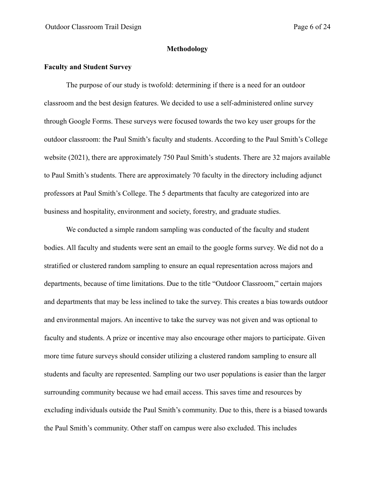#### **Methodology**

## **Faculty and Student Survey**

The purpose of our study is twofold: determining if there is a need for an outdoor classroom and the best design features. We decided to use a self-administered online survey through Google Forms. These surveys were focused towards the two key user groups for the outdoor classroom: the Paul Smith's faculty and students. According to the Paul Smith's College website (2021), there are approximately 750 Paul Smith's students. There are 32 majors available to Paul Smith's students. There are approximately 70 faculty in the directory including adjunct professors at Paul Smith's College. The 5 departments that faculty are categorized into are business and hospitality, environment and society, forestry, and graduate studies.

We conducted a simple random sampling was conducted of the faculty and student bodies. All faculty and students were sent an email to the google forms survey. We did not do a stratified or clustered random sampling to ensure an equal representation across majors and departments, because of time limitations. Due to the title "Outdoor Classroom," certain majors and departments that may be less inclined to take the survey. This creates a bias towards outdoor and environmental majors. An incentive to take the survey was not given and was optional to faculty and students. A prize or incentive may also encourage other majors to participate. Given more time future surveys should consider utilizing a clustered random sampling to ensure all students and faculty are represented. Sampling our two user populations is easier than the larger surrounding community because we had email access. This saves time and resources by excluding individuals outside the Paul Smith's community. Due to this, there is a biased towards the Paul Smith's community. Other staff on campus were also excluded. This includes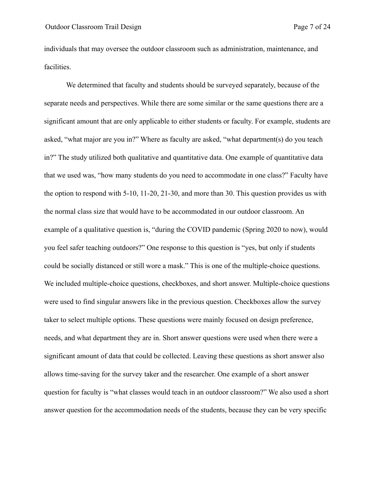individuals that may oversee the outdoor classroom such as administration, maintenance, and facilities.

We determined that faculty and students should be surveyed separately, because of the separate needs and perspectives. While there are some similar or the same questions there are a significant amount that are only applicable to either students or faculty. For example, students are asked, "what major are you in?" Where as faculty are asked, "what department(s) do you teach in?" The study utilized both qualitative and quantitative data. One example of quantitative data that we used was, "how many students do you need to accommodate in one class?" Faculty have the option to respond with 5-10, 11-20, 21-30, and more than 30. This question provides us with the normal class size that would have to be accommodated in our outdoor classroom. An example of a qualitative question is, "during the COVID pandemic (Spring 2020 to now), would you feel safer teaching outdoors?" One response to this question is "yes, but only if students could be socially distanced or still wore a mask." This is one of the multiple-choice questions. We included multiple-choice questions, checkboxes, and short answer. Multiple-choice questions were used to find singular answers like in the previous question. Checkboxes allow the survey taker to select multiple options. These questions were mainly focused on design preference, needs, and what department they are in. Short answer questions were used when there were a significant amount of data that could be collected. Leaving these questions as short answer also allows time-saving for the survey taker and the researcher. One example of a short answer question for faculty is "what classes would teach in an outdoor classroom?" We also used a short answer question for the accommodation needs of the students, because they can be very specific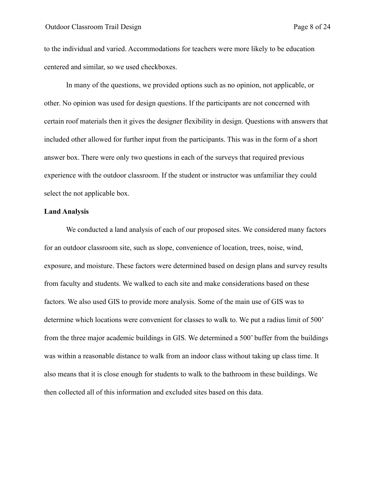to the individual and varied. Accommodations for teachers were more likely to be education centered and similar, so we used checkboxes.

In many of the questions, we provided options such as no opinion, not applicable, or other. No opinion was used for design questions. If the participants are not concerned with certain roof materials then it gives the designer flexibility in design. Questions with answers that included other allowed for further input from the participants. This was in the form of a short answer box. There were only two questions in each of the surveys that required previous experience with the outdoor classroom. If the student or instructor was unfamiliar they could select the not applicable box.

## **Land Analysis**

We conducted a land analysis of each of our proposed sites. We considered many factors for an outdoor classroom site, such as slope, convenience of location, trees, noise, wind, exposure, and moisture. These factors were determined based on design plans and survey results from faculty and students. We walked to each site and make considerations based on these factors. We also used GIS to provide more analysis. Some of the main use of GIS was to determine which locations were convenient for classes to walk to. We put a radius limit of 500' from the three major academic buildings in GIS. We determined a 500' buffer from the buildings was within a reasonable distance to walk from an indoor class without taking up class time. It also means that it is close enough for students to walk to the bathroom in these buildings. We then collected all of this information and excluded sites based on this data.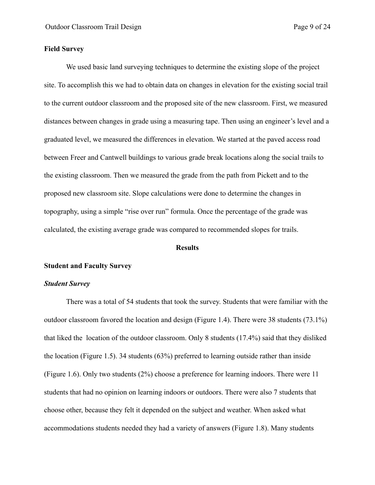## **Field Survey**

We used basic land surveying techniques to determine the existing slope of the project site. To accomplish this we had to obtain data on changes in elevation for the existing social trail to the current outdoor classroom and the proposed site of the new classroom. First, we measured distances between changes in grade using a measuring tape. Then using an engineer's level and a graduated level, we measured the differences in elevation. We started at the paved access road between Freer and Cantwell buildings to various grade break locations along the social trails to the existing classroom. Then we measured the grade from the path from Pickett and to the proposed new classroom site. Slope calculations were done to determine the changes in topography, using a simple "rise over run" formula. Once the percentage of the grade was calculated, the existing average grade was compared to recommended slopes for trails.

#### **Results**

#### **Student and Faculty Survey**

#### *Student Survey*

There was a total of 54 students that took the survey. Students that were familiar with the outdoor classroom favored the location and design (Figure 1.4). There were 38 students (73.1%) that liked the location of the outdoor classroom. Only 8 students (17.4%) said that they disliked the location (Figure 1.5). 34 students (63%) preferred to learning outside rather than inside (Figure 1.6). Only two students (2%) choose a preference for learning indoors. There were 11 students that had no opinion on learning indoors or outdoors. There were also 7 students that choose other, because they felt it depended on the subject and weather. When asked what accommodations students needed they had a variety of answers (Figure 1.8). Many students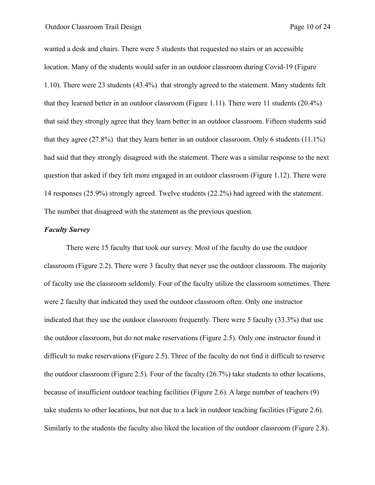wanted a desk and chairs. There were 5 students that requested no stairs or an accessible location. Many of the students would safer in an outdoor classroom during Covid-19 (Figure 1.10). There were 23 students (43.4%) that strongly agreed to the statement. Many students felt that they learned better in an outdoor classroom (Figure 1.11). There were 11 students (20.4%) that said they strongly agree that they learn better in an outdoor classroom. Fifteen students said that they agree (27.8%) that they learn better in an outdoor classroom. Only 6 students  $(11.1\%)$ had said that they strongly disagreed with the statement. There was a similar response to the next question that asked if they felt more engaged in an outdoor classroom (Figure 1.12). There were 14 responses (25.9%) strongly agreed. Twelve students (22.2%) had agreed with the statement. The number that disagreed with the statement as the previous question.

#### *Faculty Survey*

There were 15 faculty that took our survey. Most of the faculty do use the outdoor classroom (Figure 2.2). There were 3 faculty that never use the outdoor classroom. The majority of faculty use the classroom seldomly. Four of the faculty utilize the classroom sometimes. There were 2 faculty that indicated they used the outdoor classroom often. Only one instructor indicated that they use the outdoor classroom frequently. There were 5 faculty (33.3%) that use the outdoor classroom, but do not make reservations (Figure 2.5). Only one instructor found it difficult to make reservations (Figure 2.5). Three of the faculty do not find it difficult to reserve the outdoor classroom (Figure 2.5). Four of the faculty (26.7%) take students to other locations, because of insufficient outdoor teaching facilities (Figure 2.6). A large number of teachers (9) take students to other locations, but not due to a lack in outdoor teaching facilities (Figure 2.6). Similarly to the students the faculty also liked the location of the outdoor classroom (Figure 2.8).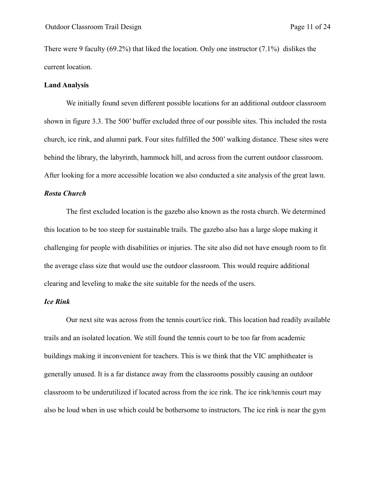There were 9 faculty (69.2%) that liked the location. Only one instructor (7.1%) dislikes the current location.

## **Land Analysis**

We initially found seven different possible locations for an additional outdoor classroom shown in figure 3.3. The 500' buffer excluded three of our possible sites. This included the rosta church, ice rink, and alumni park. Four sites fulfilled the 500' walking distance. These sites were behind the library, the labyrinth, hammock hill, and across from the current outdoor classroom. After looking for a more accessible location we also conducted a site analysis of the great lawn.

#### *Rosta Church*

The first excluded location is the gazebo also known as the rosta church. We determined this location to be too steep for sustainable trails. The gazebo also has a large slope making it challenging for people with disabilities or injuries. The site also did not have enough room to fit the average class size that would use the outdoor classroom. This would require additional clearing and leveling to make the site suitable for the needs of the users.

#### *Ice Rink*

Our next site was across from the tennis court/ice rink. This location had readily available trails and an isolated location. We still found the tennis court to be too far from academic buildings making it inconvenient for teachers. This is we think that the VIC amphitheater is generally unused. It is a far distance away from the classrooms possibly causing an outdoor classroom to be underutilized if located across from the ice rink. The ice rink/tennis court may also be loud when in use which could be bothersome to instructors. The ice rink is near the gym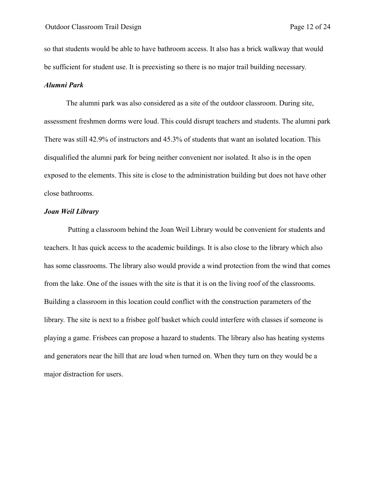so that students would be able to have bathroom access. It also has a brick walkway that would be sufficient for student use. It is preexisting so there is no major trail building necessary.

## *Alumni Park*

The alumni park was also considered as a site of the outdoor classroom. During site, assessment freshmen dorms were loud. This could disrupt teachers and students. The alumni park There was still 42.9% of instructors and 45.3% of students that want an isolated location. This disqualified the alumni park for being neither convenient nor isolated. It also is in the open exposed to the elements. This site is close to the administration building but does not have other close bathrooms.

#### *Joan Weil Library*

 Putting a classroom behind the Joan Weil Library would be convenient for students and teachers. It has quick access to the academic buildings. It is also close to the library which also has some classrooms. The library also would provide a wind protection from the wind that comes from the lake. One of the issues with the site is that it is on the living roof of the classrooms. Building a classroom in this location could conflict with the construction parameters of the library. The site is next to a frisbee golf basket which could interfere with classes if someone is playing a game. Frisbees can propose a hazard to students. The library also has heating systems and generators near the hill that are loud when turned on. When they turn on they would be a major distraction for users.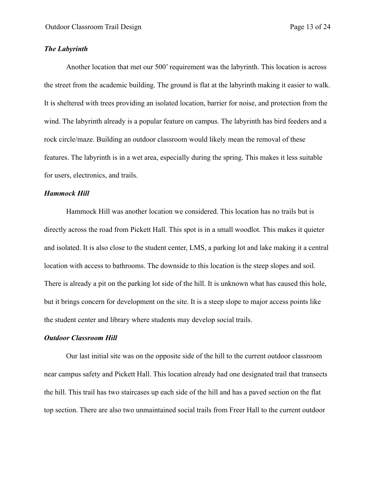#### *The Labyrinth*

Another location that met our 500' requirement was the labyrinth. This location is across the street from the academic building. The ground is flat at the labyrinth making it easier to walk. It is sheltered with trees providing an isolated location, barrier for noise, and protection from the wind. The labyrinth already is a popular feature on campus. The labyrinth has bird feeders and a rock circle/maze. Building an outdoor classroom would likely mean the removal of these features. The labyrinth is in a wet area, especially during the spring. This makes it less suitable for users, electronics, and trails.

#### *Hammock Hill*

Hammock Hill was another location we considered. This location has no trails but is directly across the road from Pickett Hall. This spot is in a small woodlot. This makes it quieter and isolated. It is also close to the student center, LMS, a parking lot and lake making it a central location with access to bathrooms. The downside to this location is the steep slopes and soil. There is already a pit on the parking lot side of the hill. It is unknown what has caused this hole, but it brings concern for development on the site. It is a steep slope to major access points like the student center and library where students may develop social trails.

#### *Outdoor Classroom Hill*

Our last initial site was on the opposite side of the hill to the current outdoor classroom near campus safety and Pickett Hall. This location already had one designated trail that transects the hill. This trail has two staircases up each side of the hill and has a paved section on the flat top section. There are also two unmaintained social trails from Freer Hall to the current outdoor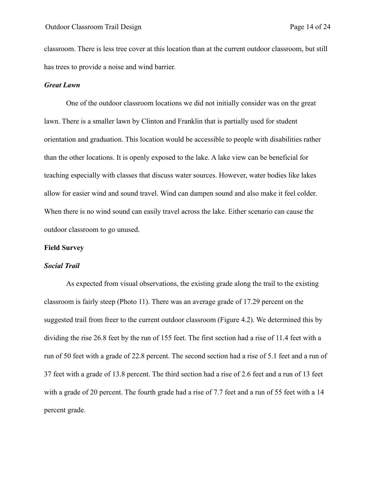classroom. There is less tree cover at this location than at the current outdoor classroom, but still has trees to provide a noise and wind barrier.

## *Great Lawn*

One of the outdoor classroom locations we did not initially consider was on the great lawn. There is a smaller lawn by Clinton and Franklin that is partially used for student orientation and graduation. This location would be accessible to people with disabilities rather than the other locations. It is openly exposed to the lake. A lake view can be beneficial for teaching especially with classes that discuss water sources. However, water bodies like lakes allow for easier wind and sound travel. Wind can dampen sound and also make it feel colder. When there is no wind sound can easily travel across the lake. Either scenario can cause the outdoor classroom to go unused.

#### **Field Survey**

### *Social Trail*

As expected from visual observations, the existing grade along the trail to the existing classroom is fairly steep (Photo 11). There was an average grade of 17.29 percent on the suggested trail from freer to the current outdoor classroom (Figure 4.2). We determined this by dividing the rise 26.8 feet by the run of 155 feet. The first section had a rise of 11.4 feet with a run of 50 feet with a grade of 22.8 percent. The second section had a rise of 5.1 feet and a run of 37 feet with a grade of 13.8 percent. The third section had a rise of 2.6 feet and a run of 13 feet with a grade of 20 percent. The fourth grade had a rise of 7.7 feet and a run of 55 feet with a 14 percent grade.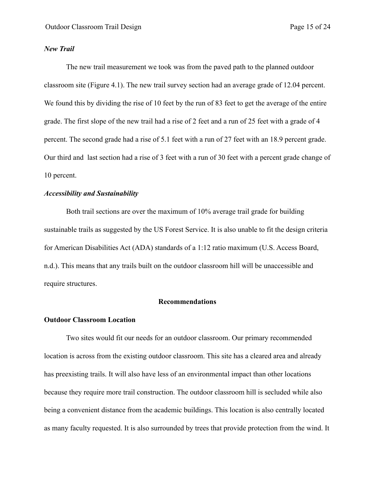#### *New Trail*

The new trail measurement we took was from the paved path to the planned outdoor classroom site (Figure 4.1). The new trail survey section had an average grade of 12.04 percent. We found this by dividing the rise of 10 feet by the run of 83 feet to get the average of the entire grade. The first slope of the new trail had a rise of 2 feet and a run of 25 feet with a grade of 4 percent. The second grade had a rise of 5.1 feet with a run of 27 feet with an 18.9 percent grade. Our third and last section had a rise of 3 feet with a run of 30 feet with a percent grade change of 10 percent.

## *Accessibility and Sustainability*

Both trail sections are over the maximum of 10% average trail grade for building sustainable trails as suggested by the US Forest Service. It is also unable to fit the design criteria for American Disabilities Act (ADA) standards of a 1:12 ratio maximum (U.S. Access Board, n.d.). This means that any trails built on the outdoor classroom hill will be unaccessible and require structures.

## **Recommendations**

## **Outdoor Classroom Location**

Two sites would fit our needs for an outdoor classroom. Our primary recommended location is across from the existing outdoor classroom. This site has a cleared area and already has preexisting trails. It will also have less of an environmental impact than other locations because they require more trail construction. The outdoor classroom hill is secluded while also being a convenient distance from the academic buildings. This location is also centrally located as many faculty requested. It is also surrounded by trees that provide protection from the wind. It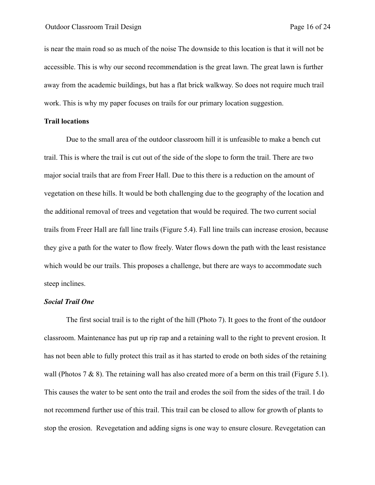is near the main road so as much of the noise The downside to this location is that it will not be accessible. This is why our second recommendation is the great lawn. The great lawn is further away from the academic buildings, but has a flat brick walkway. So does not require much trail work. This is why my paper focuses on trails for our primary location suggestion.

## **Trail locations**

Due to the small area of the outdoor classroom hill it is unfeasible to make a bench cut trail. This is where the trail is cut out of the side of the slope to form the trail. There are two major social trails that are from Freer Hall. Due to this there is a reduction on the amount of vegetation on these hills. It would be both challenging due to the geography of the location and the additional removal of trees and vegetation that would be required. The two current social trails from Freer Hall are fall line trails (Figure 5.4). Fall line trails can increase erosion, because they give a path for the water to flow freely. Water flows down the path with the least resistance which would be our trails. This proposes a challenge, but there are ways to accommodate such steep inclines.

#### *Social Trail One*

The first social trail is to the right of the hill (Photo 7). It goes to the front of the outdoor classroom. Maintenance has put up rip rap and a retaining wall to the right to prevent erosion. It has not been able to fully protect this trail as it has started to erode on both sides of the retaining wall (Photos 7  $\&$  8). The retaining wall has also created more of a berm on this trail (Figure 5.1). This causes the water to be sent onto the trail and erodes the soil from the sides of the trail. I do not recommend further use of this trail. This trail can be closed to allow for growth of plants to stop the erosion. Revegetation and adding signs is one way to ensure closure. Revegetation can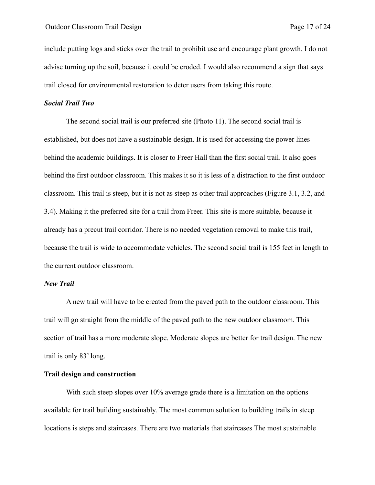include putting logs and sticks over the trail to prohibit use and encourage plant growth. I do not advise turning up the soil, because it could be eroded. I would also recommend a sign that says trail closed for environmental restoration to deter users from taking this route.

#### *Social Trail Two*

The second social trail is our preferred site (Photo 11). The second social trail is established, but does not have a sustainable design. It is used for accessing the power lines behind the academic buildings. It is closer to Freer Hall than the first social trail. It also goes behind the first outdoor classroom. This makes it so it is less of a distraction to the first outdoor classroom. This trail is steep, but it is not as steep as other trail approaches (Figure 3.1, 3.2, and 3.4). Making it the preferred site for a trail from Freer. This site is more suitable, because it already has a precut trail corridor. There is no needed vegetation removal to make this trail, because the trail is wide to accommodate vehicles. The second social trail is 155 feet in length to the current outdoor classroom.

#### *New Trail*

A new trail will have to be created from the paved path to the outdoor classroom. This trail will go straight from the middle of the paved path to the new outdoor classroom. This section of trail has a more moderate slope. Moderate slopes are better for trail design. The new trail is only 83' long.

## **Trail design and construction**

With such steep slopes over 10% average grade there is a limitation on the options available for trail building sustainably. The most common solution to building trails in steep locations is steps and staircases. There are two materials that staircases The most sustainable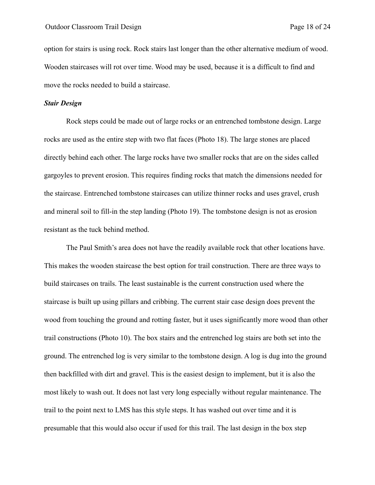option for stairs is using rock. Rock stairs last longer than the other alternative medium of wood. Wooden staircases will rot over time. Wood may be used, because it is a difficult to find and move the rocks needed to build a staircase.

#### *Stair Design*

Rock steps could be made out of large rocks or an entrenched tombstone design. Large rocks are used as the entire step with two flat faces (Photo 18). The large stones are placed directly behind each other. The large rocks have two smaller rocks that are on the sides called gargoyles to prevent erosion. This requires finding rocks that match the dimensions needed for the staircase. Entrenched tombstone staircases can utilize thinner rocks and uses gravel, crush and mineral soil to fill-in the step landing (Photo 19). The tombstone design is not as erosion resistant as the tuck behind method.

The Paul Smith's area does not have the readily available rock that other locations have. This makes the wooden staircase the best option for trail construction. There are three ways to build staircases on trails. The least sustainable is the current construction used where the staircase is built up using pillars and cribbing. The current stair case design does prevent the wood from touching the ground and rotting faster, but it uses significantly more wood than other trail constructions (Photo 10). The box stairs and the entrenched log stairs are both set into the ground. The entrenched log is very similar to the tombstone design. A log is dug into the ground then backfilled with dirt and gravel. This is the easiest design to implement, but it is also the most likely to wash out. It does not last very long especially without regular maintenance. The trail to the point next to LMS has this style steps. It has washed out over time and it is presumable that this would also occur if used for this trail. The last design in the box step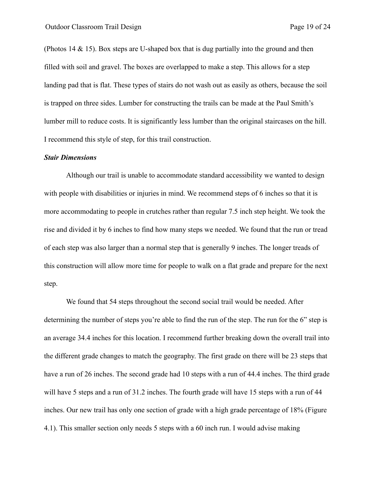(Photos 14 & 15). Box steps are U-shaped box that is dug partially into the ground and then filled with soil and gravel. The boxes are overlapped to make a step. This allows for a step landing pad that is flat. These types of stairs do not wash out as easily as others, because the soil is trapped on three sides. Lumber for constructing the trails can be made at the Paul Smith's lumber mill to reduce costs. It is significantly less lumber than the original staircases on the hill. I recommend this style of step, for this trail construction.

#### *Stair Dimensions*

Although our trail is unable to accommodate standard accessibility we wanted to design with people with disabilities or injuries in mind. We recommend steps of 6 inches so that it is more accommodating to people in crutches rather than regular 7.5 inch step height. We took the rise and divided it by 6 inches to find how many steps we needed. We found that the run or tread of each step was also larger than a normal step that is generally 9 inches. The longer treads of this construction will allow more time for people to walk on a flat grade and prepare for the next step.

We found that 54 steps throughout the second social trail would be needed. After determining the number of steps you're able to find the run of the step. The run for the 6" step is an average 34.4 inches for this location. I recommend further breaking down the overall trail into the different grade changes to match the geography. The first grade on there will be 23 steps that have a run of 26 inches. The second grade had 10 steps with a run of 44.4 inches. The third grade will have 5 steps and a run of 31.2 inches. The fourth grade will have 15 steps with a run of 44 inches. Our new trail has only one section of grade with a high grade percentage of 18% (Figure 4.1). This smaller section only needs 5 steps with a 60 inch run. I would advise making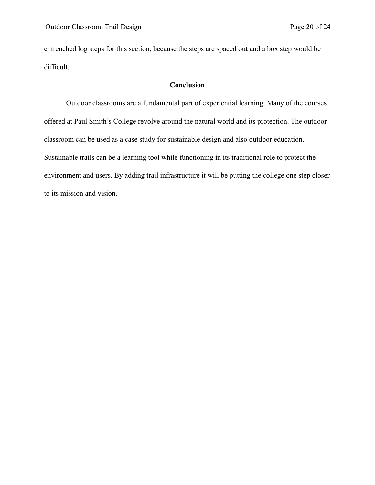entrenched log steps for this section, because the steps are spaced out and a box step would be difficult.

## **Conclusion**

Outdoor classrooms are a fundamental part of experiential learning. Many of the courses offered at Paul Smith's College revolve around the natural world and its protection. The outdoor classroom can be used as a case study for sustainable design and also outdoor education. Sustainable trails can be a learning tool while functioning in its traditional role to protect the environment and users. By adding trail infrastructure it will be putting the college one step closer to its mission and vision.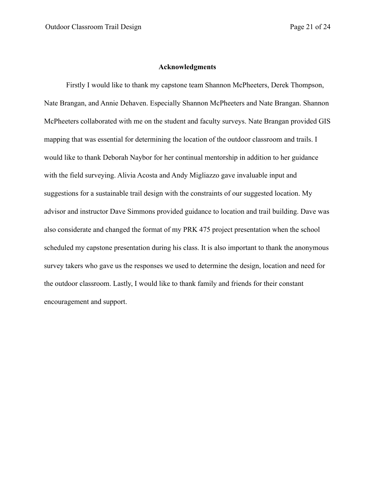#### **Acknowledgments**

Firstly I would like to thank my capstone team Shannon McPheeters, Derek Thompson, Nate Brangan, and Annie Dehaven. Especially Shannon McPheeters and Nate Brangan. Shannon McPheeters collaborated with me on the student and faculty surveys. Nate Brangan provided GIS mapping that was essential for determining the location of the outdoor classroom and trails. I would like to thank Deborah Naybor for her continual mentorship in addition to her guidance with the field surveying. Alivia Acosta and Andy Migliazzo gave invaluable input and suggestions for a sustainable trail design with the constraints of our suggested location. My advisor and instructor Dave Simmons provided guidance to location and trail building. Dave was also considerate and changed the format of my PRK 475 project presentation when the school scheduled my capstone presentation during his class. It is also important to thank the anonymous survey takers who gave us the responses we used to determine the design, location and need for the outdoor classroom. Lastly, I would like to thank family and friends for their constant encouragement and support.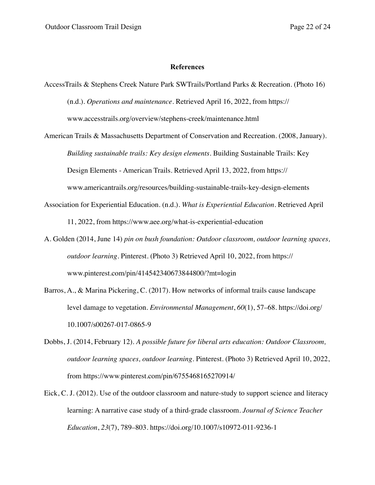#### **References**

- AccessTrails & Stephens Creek Nature Park SWTrails/Portland Parks & Recreation. (Photo 16) (n.d.). *Operations and maintenance*. Retrieved April 16, 2022, from https:// www.accesstrails.org/overview/stephens-creek/maintenance.html
- American Trails & Massachusetts Department of Conservation and Recreation. (2008, January). *Building sustainable trails: Key design elements*. Building Sustainable Trails: Key Design Elements - American Trails. Retrieved April 13, 2022, from https:// www.americantrails.org/resources/building-sustainable-trails-key-design-elements
- Association for Experiential Education. (n.d.). *What is Experiential Education*. Retrieved April 11, 2022, from https://www.aee.org/what-is-experiential-education
- A. Golden (2014, June 14) *pin on bush foundation: Outdoor classroom, outdoor learning spaces, outdoor learning*. Pinterest. (Photo 3) Retrieved April 10, 2022, from https:// www.pinterest.com/pin/414542340673844800/?mt=login
- Barros, A., & Marina Pickering, C. (2017). How networks of informal trails cause landscape level damage to vegetation. *Environmental Management*, *60*(1), 57–68. https://doi.org/ 10.1007/s00267-017-0865-9
- Dobbs, J. (2014, February 12). *A possible future for liberal arts education: Outdoor Classroom, outdoor learning spaces, outdoor learning*. Pinterest. (Photo 3) Retrieved April 10, 2022, from https://www.pinterest.com/pin/6755468165270914/
- Eick, C. J. (2012). Use of the outdoor classroom and nature-study to support science and literacy learning: A narrative case study of a third-grade classroom. *Journal of Science Teacher Education*, *23*(7), 789–803. https://doi.org/10.1007/s10972-011-9236-1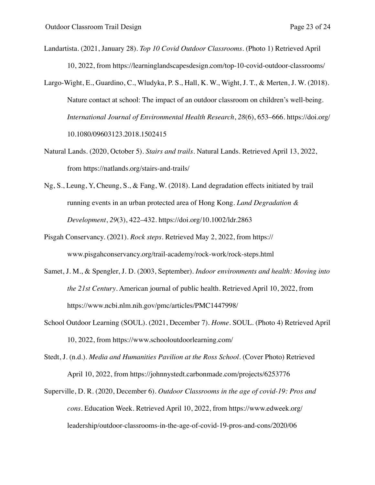Landartista. (2021, January 28). *Top 10 Covid Outdoor Classrooms*. (Photo 1) Retrieved April 10, 2022, from https://learninglandscapesdesign.com/top-10-covid-outdoor-classrooms/

Largo-Wight, E., Guardino, C., Wludyka, P. S., Hall, K. W., Wight, J. T., & Merten, J. W. (2018). Nature contact at school: The impact of an outdoor classroom on children's well-being. *International Journal of Environmental Health Research*, *28*(6), 653–666. https://doi.org/ 10.1080/09603123.2018.1502415

- Natural Lands. (2020, October 5). *Stairs and trails*. Natural Lands. Retrieved April 13, 2022, from https://natlands.org/stairs-and-trails/
- Ng, S., Leung, Y, Cheung, S., & Fang, W. (2018). Land degradation effects initiated by trail running events in an urban protected area of Hong Kong. *Land Degradation & Development*, *29*(3), 422–432. https://doi.org/10.1002/ldr.2863
- Pisgah Conservancy. (2021). *Rock steps*. Retrieved May 2, 2022, from https:// www.pisgahconservancy.org/trail-academy/rock-work/rock-steps.html
- Samet, J. M., & Spengler, J. D. (2003, September). *Indoor environments and health: Moving into the 21st Century*. American journal of public health. Retrieved April 10, 2022, from https://www.ncbi.nlm.nih.gov/pmc/articles/PMC1447998/
- School Outdoor Learning (SOUL). (2021, December 7). *Home*. SOUL. (Photo 4) Retrieved April 10, 2022, from https://www.schooloutdoorlearning.com/

Superville, D. R. (2020, December 6). *Outdoor Classrooms in the age of covid-19: Pros and cons*. Education Week. Retrieved April 10, 2022, from https://www.edweek.org/ leadership/outdoor-classrooms-in-the-age-of-covid-19-pros-and-cons/2020/06

Stedt, J. (n.d.). *Media and Humanities Pavilion at the Ross School*. (Cover Photo) Retrieved April 10, 2022, from https://johnnystedt.carbonmade.com/projects/6253776